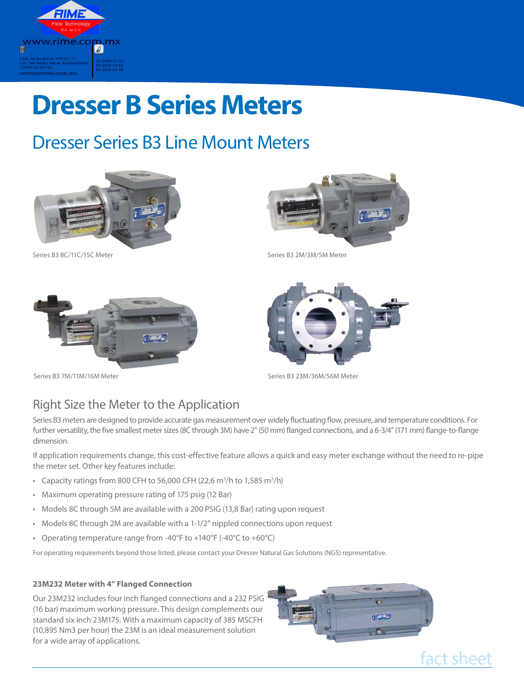

# **Dresser B Series Meters**

## Dresser Series B3 Line Mount Meters







Series B3 8C/11C/15C Meter Series B3 2M/3M/5M Meter

Series B3 23M/36M/56M Meter



Series B3 7M/11M/16M Meter

### Right Size the Meter to the Application

Series B3 meters are designed to provide accurate gas measurement over widely fluctuating flow, pressure, and temperature conditions. For further versatility, the five smallest meter sizes (8C through 3M) have 2" (50 mm) flanged connections, and a 6-3/4" (171 mm) flange-to-flange dimension.

If application requirements change, this cost-effective feature allows a quick and easy meter exchange without the need to re-pipe the meter set. Other key features include:

- Capacity ratings from 800 CFH to 56,000 CFH (22,6 m<sup>3</sup>/h to 1,585 m<sup>3</sup>/h)
- Maximum operating pressure rating of 175 psig (12 Bar)
- Models 8C through 5M are available with a 200 PSIG (13,8 Bar) rating upon request
- Models 8C through 2M are available with a 1-1/2" nippled connections upon request
- Operating temperature range from -40°F to +140°F (-40°C to +60°C)

For operating requirements beyond those listed, please contact your Dresser Natural Gas Solutions (NGS) representative.

#### **23M232 Meter with 4" Flanged Connection**

Our 23M232 includes four inch flanged connections and a 232 PSIG (16 bar) maximum working pressure. This design complements our standard six inch 23M175. With a maximum capacity of 385 MSCFH (10,895 Nm3 per hour) the 23M is an ideal measurement solution for a wide array of applications.